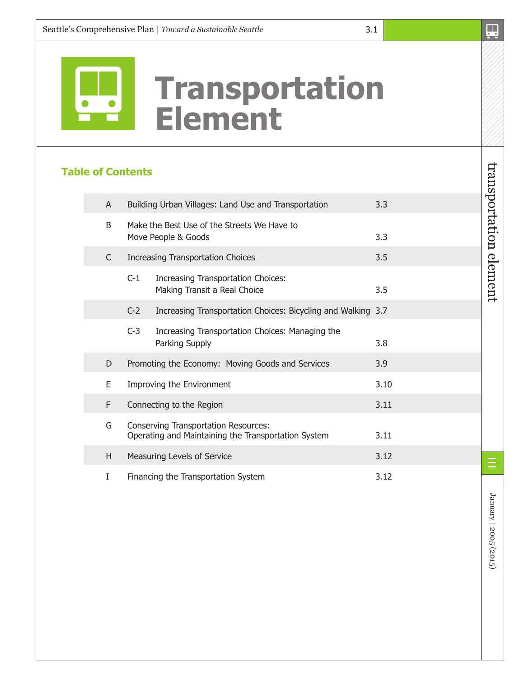

# **Transportation Element**

## **Table of Contents**

| A  |                                                                                                    | Building Urban Villages: Land Use and Transportation               | 3.3  |
|----|----------------------------------------------------------------------------------------------------|--------------------------------------------------------------------|------|
| B  | Make the Best Use of the Streets We Have to<br>Move People & Goods                                 | 3.3                                                                |      |
| C  |                                                                                                    | <b>Increasing Transportation Choices</b>                           | 3.5  |
|    | $C-1$                                                                                              | Increasing Transportation Choices:<br>Making Transit a Real Choice | 3.5  |
|    | $C-2$                                                                                              | Increasing Transportation Choices: Bicycling and Walking 3.7       |      |
|    | $C-3$                                                                                              | Increasing Transportation Choices: Managing the<br>Parking Supply  | 3.8  |
| D  |                                                                                                    | Promoting the Economy: Moving Goods and Services                   | 3.9  |
| E. | Improving the Environment                                                                          | 3.10                                                               |      |
| F  |                                                                                                    | Connecting to the Region                                           | 3.11 |
| G  | <b>Conserving Transportation Resources:</b><br>Operating and Maintaining the Transportation System | 3.11                                                               |      |
| H. | Measuring Levels of Service                                                                        | 3.12                                                               |      |
| I  | Financing the Transportation System                                                                | 3.12                                                               |      |

January | 2005 (2015) January | 2005 (2015)

E

transportation element

transportation element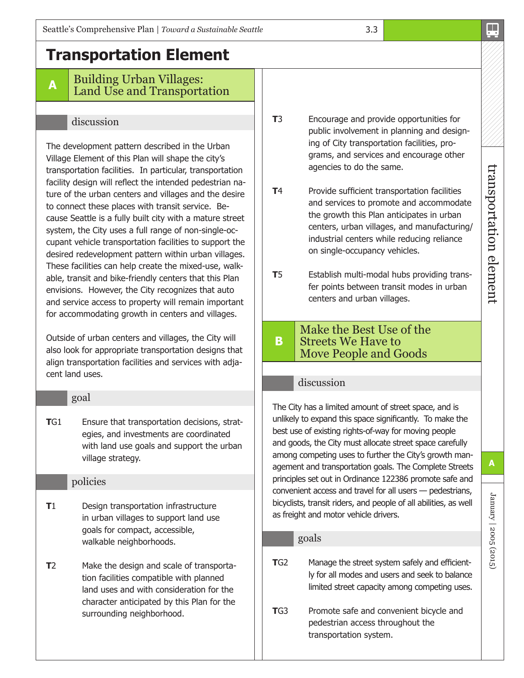## **Transportation Element**

#### **<sup>A</sup>** Building Urban Villages: Land Use and Transportation

### discussion

The development pattern described in the Urban Village Element of this Plan will shape the city's transportation facilities. In particular, transportation facility design will reflect the intended pedestrian nature of the urban centers and villages and the desire to connect these places with transit service. Because Seattle is a fully built city with a mature street system, the City uses a full range of non-single-occupant vehicle transportation facilities to support the desired redevelopment pattern within urban villages. These facilities can help create the mixed-use, walkable, transit and bike-friendly centers that this Plan envisions. However, the City recognizes that auto and service access to property will remain important for accommodating growth in centers and villages.

Outside of urban centers and villages, the City will also look for appropriate transportation designs that align transportation facilities and services with adjacent land uses.

#### goal

**T**G1 Ensure that transportation decisions, strategies, and investments are coordinated with land use goals and support the urban village strategy.

#### policies

- **T**1 Design transportation infrastructure in urban villages to support land use goals for compact, accessible, walkable neighborhoods.
- **T**2 Make the design and scale of transportation facilities compatible with planned land uses and with consideration for the character anticipated by this Plan for the surrounding neighborhood.

**T**3 Encourage and provide opportunities for public involvement in planning and designing of City transportation facilities, programs, and services and encourage other agencies to do the same.

3.3

- **T4** Provide sufficient transportation facilities and services to promote and accommodate the growth this Plan anticipates in urban centers, urban villages, and manufacturing/ industrial centers while reducing reliance on single-occupancy vehicles.
- **T**5 Establish multi-modal hubs providing transfer points between transit modes in urban centers and urban villages.

#### **B** Make the Best Use of the Streets We Have to Move People and Goods

#### discussion

The City has a limited amount of street space, and is unlikely to expand this space significantly. To make the best use of existing rights-of-way for moving people and goods, the City must allocate street space carefully among competing uses to further the City's growth management and transportation goals. The Complete Streets principles set out in Ordinance 122386 promote safe and convenient access and travel for all users — pedestrians, bicyclists, transit riders, and people of all abilities, as well as freight and motor vehicle drivers.

#### goals

**T**G2 Manage the street system safely and efficiently for all modes and users and seek to balance limited street capacity among competing uses.

**TG3** Promote safe and convenient bicycle and pedestrian access throughout the transportation system.

January | 2005 (2015)

January | 2005 (2015)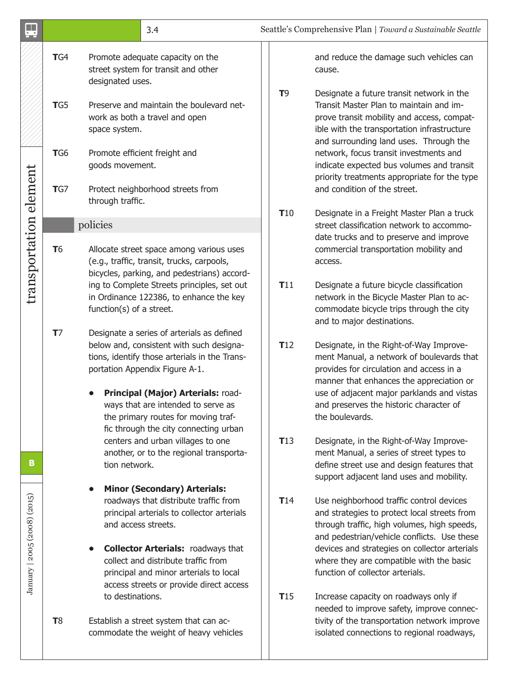|                              |                       | 3.4                                                                                                                                                                                                                                                                                                                                                                        |                | Seattle's Comprehensive Plan   Toward a Sustainable Seattle                                                                                                                                                                                                                                                                         |
|------------------------------|-----------------------|----------------------------------------------------------------------------------------------------------------------------------------------------------------------------------------------------------------------------------------------------------------------------------------------------------------------------------------------------------------------------|----------------|-------------------------------------------------------------------------------------------------------------------------------------------------------------------------------------------------------------------------------------------------------------------------------------------------------------------------------------|
|                              | TG4                   | Promote adequate capacity on the<br>street system for transit and other<br>designated uses.                                                                                                                                                                                                                                                                                |                | and reduce the damage such vehicles can<br>cause.                                                                                                                                                                                                                                                                                   |
|                              | TG5                   | Preserve and maintain the boulevard net-<br>work as both a travel and open<br>space system.                                                                                                                                                                                                                                                                                | T <sub>9</sub> | Designate a future transit network in the<br>Transit Master Plan to maintain and im-<br>prove transit mobility and access, compat-<br>ible with the transportation infrastructure<br>and surrounding land uses. Through the                                                                                                         |
|                              | TG <sub>6</sub>       | Promote efficient freight and<br>goods movement.                                                                                                                                                                                                                                                                                                                           |                | network, focus transit investments and<br>indicate expected bus volumes and transit<br>priority treatments appropriate for the type                                                                                                                                                                                                 |
|                              | TG                    | Protect neighborhood streets from<br>through traffic.                                                                                                                                                                                                                                                                                                                      |                | and condition of the street.                                                                                                                                                                                                                                                                                                        |
| transportation element       | <b>T</b> <sub>6</sub> | policies<br>Allocate street space among various uses<br>(e.g., traffic, transit, trucks, carpools,<br>bicycles, parking, and pedestrians) accord-                                                                                                                                                                                                                          | <b>T10</b>     | Designate in a Freight Master Plan a truck<br>street classification network to accommo-<br>date trucks and to preserve and improve<br>commercial transportation mobility and<br>access.                                                                                                                                             |
|                              | T <sub>7</sub>        | ing to Complete Streets principles, set out<br>in Ordinance 122386, to enhance the key<br>function(s) of a street.                                                                                                                                                                                                                                                         | <b>T11</b>     | Designate a future bicycle classification<br>network in the Bicycle Master Plan to ac-<br>commodate bicycle trips through the city<br>and to major destinations.                                                                                                                                                                    |
|                              |                       | Designate a series of arterials as defined<br>below and, consistent with such designa-<br>tions, identify those arterials in the Trans-<br>portation Appendix Figure A-1.<br>Principal (Major) Arterials: road-<br>ways that are intended to serve as<br>the primary routes for moving traf-<br>fic through the city connecting urban<br>centers and urban villages to one | T12<br>T13     | Designate, in the Right-of-Way Improve-<br>ment Manual, a network of boulevards that<br>provides for circulation and access in a<br>manner that enhances the appreciation or<br>use of adjacent major parklands and vistas<br>and preserves the historic character of<br>the boulevards.<br>Designate, in the Right-of-Way Improve- |
| B                            |                       | another, or to the regional transporta-<br>tion network.                                                                                                                                                                                                                                                                                                                   |                | ment Manual, a series of street types to<br>define street use and design features that<br>support adjacent land uses and mobility.                                                                                                                                                                                                  |
| January   2005 (2008) (2015) |                       | <b>Minor (Secondary) Arterials:</b><br>roadways that distribute traffic from<br>principal arterials to collector arterials<br>and access streets.<br><b>Collector Arterials: roadways that</b><br>collect and distribute traffic from<br>principal and minor arterials to local<br>access streets or provide direct access                                                 | <b>T14</b>     | Use neighborhood traffic control devices<br>and strategies to protect local streets from<br>through traffic, high volumes, high speeds,<br>and pedestrian/vehicle conflicts. Use these<br>devices and strategies on collector arterials<br>where they are compatible with the basic<br>function of collector arterials.             |
|                              | <b>T</b> 8            | to destinations.<br>Establish a street system that can ac-<br>commodate the weight of heavy vehicles                                                                                                                                                                                                                                                                       | T15            | Increase capacity on roadways only if<br>needed to improve safety, improve connec-<br>tivity of the transportation network improve<br>isolated connections to regional roadways,                                                                                                                                                    |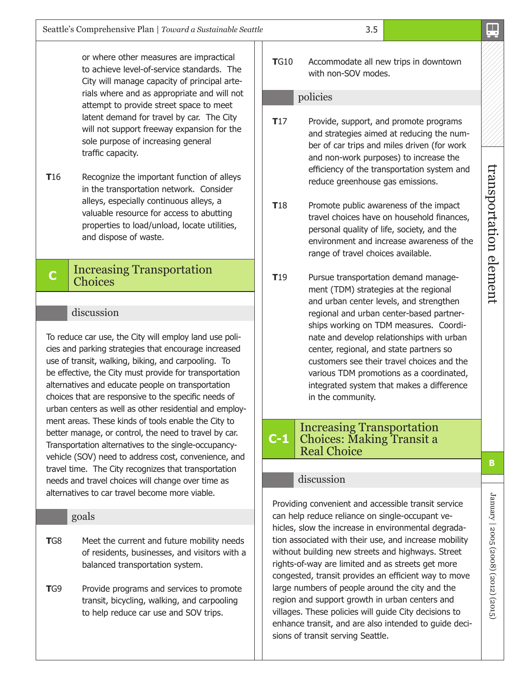or where other measures are impractical to achieve level-of-service standards. The City will manage capacity of principal arterials where and as appropriate and will not attempt to provide street space to meet latent demand for travel by car. The City will not support freeway expansion for the sole purpose of increasing general traffic capacity.

**T16** Recognize the important function of alleys in the transportation network. Consider alleys, especially continuous alleys, a valuable resource for access to abutting properties to load/unload, locate utilities, and dispose of waste.

#### **<sup>C</sup>** Increasing Transportation Choices

#### discussion

To reduce car use, the City will employ land use policies and parking strategies that encourage increased use of transit, walking, biking, and carpooling. To be effective, the City must provide for transportation alternatives and educate people on transportation choices that are responsive to the specific needs of urban centers as well as other residential and employment areas. These kinds of tools enable the City to better manage, or control, the need to travel by car. Transportation alternatives to the single-occupancyvehicle (SOV) need to address cost, convenience, and travel time. The City recognizes that transportation needs and travel choices will change over time as alternatives to car travel become more viable.

#### goals

- **TG8** Meet the current and future mobility needs of residents, businesses, and visitors with a balanced transportation system.
- **TG9** Provide programs and services to promote transit, bicycling, walking, and carpooling to help reduce car use and SOV trips.

**T**G10 Accommodate all new trips in downtown with non-SOV modes.

#### policies

- **T17** Provide, support, and promote programs and strategies aimed at reducing the number of car trips and miles driven (for work and non-work purposes) to increase the efficiency of the transportation system and reduce greenhouse gas emissions.
- **T18** Promote public awareness of the impact travel choices have on household finances, personal quality of life, society, and the environment and increase awareness of the range of travel choices available.
- **T**19 Pursue transportation demand management (TDM) strategies at the regional and urban center levels, and strengthen regional and urban center-based partnerships working on TDM measures. Coordinate and develop relationships with urban center, regional, and state partners so customers see their travel choices and the various TDM promotions as a coordinated, integrated system that makes a difference in the community.

#### **C-1** Increasing Transportation Choices: Making Transit a Real Choice

#### discussion

Providing convenient and accessible transit service can help reduce reliance on single-occupant vehicles, slow the increase in environmental degradation associated with their use, and increase mobility without building new streets and highways. Street rights-of-way are limited and as streets get more congested, transit provides an efficient way to move large numbers of people around the city and the region and support growth in urban centers and villages. These policies will guide City decisions to enhance transit, and are also intended to guide decisions of transit serving Seattle.

January | 2005 (2008) (2012) (2015)

January | 2005 (2008) (2012) (2015)

transportation element

transportation element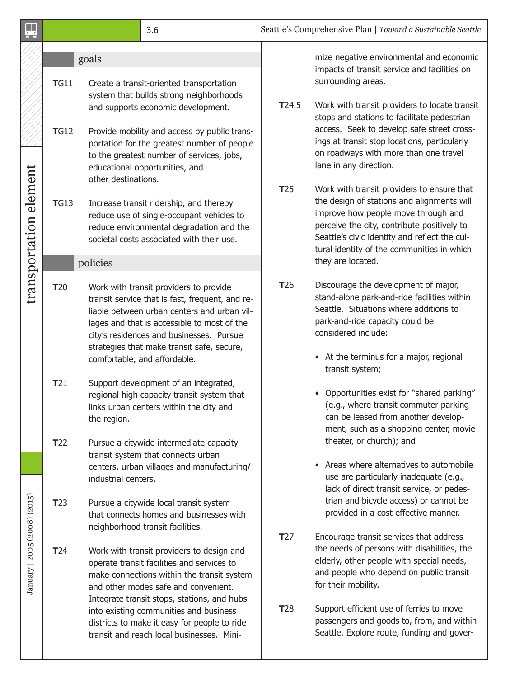| 3.6 | Seattle's Comprehensive Plan   Toward a Sustainable Seattle |  |
|-----|-------------------------------------------------------------|--|
|-----|-------------------------------------------------------------|--|

| I        | ۰<br>. .          |
|----------|-------------------|
|          |                   |
| ۰,<br>۰. | I<br>I<br>×<br>۰, |

#### goals

- **T**G11 Create a transit-oriented transportation system that builds strong neighborhoods and supports economic development. **TG12** Provide mobility and access by public trans
	- portation for the greatest number of people to the greatest number of services, jobs, educational opportunities, and other destinations.
- **T**G13 Increase transit ridership, and thereby reduce use of single-occupant vehicles to reduce environmental degradation and the societal costs associated with their use.

#### policies

transportation element

transportation element

January | 2005 (2008) (2015)

January | 2005 (2008) (2015)

- **T**20 Work with transit providers to provide transit service that is fast, frequent, and reliable between urban centers and urban villages and that is accessible to most of the city's residences and businesses. Pursue strategies that make transit safe, secure, comfortable, and affordable.
	- **T**21 Support development of an integrated, regional high capacity transit system that links urban centers within the city and the region.
	- **T**22 Pursue a citywide intermediate capacity transit system that connects urban centers, urban villages and manufacturing/ industrial centers.
- **T**23 Pursue a citywide local transit system that connects homes and businesses with neighborhood transit facilities.
- **T**24 Work with transit providers to design and operate transit facilities and services to make connections within the transit system and other modes safe and convenient. Integrate transit stops, stations, and hubs into existing communities and business districts to make it easy for people to ride transit and reach local businesses. Mini-

mize negative environmental and economic impacts of transit service and facilities on surrounding areas.

- **T**24.5 Work with transit providers to locate transit stops and stations to facilitate pedestrian access. Seek to develop safe street crossings at transit stop locations, particularly on roadways with more than one travel lane in any direction.
- **T**25 Work with transit providers to ensure that the design of stations and alignments will improve how people move through and perceive the city, contribute positively to Seattle's civic identity and reflect the cultural identity of the communities in which they are located.
- **T**26 Discourage the development of major, stand-alone park-and-ride facilities within Seattle. Situations where additions to park-and-ride capacity could be considered include:
	- At the terminus for a major, regional transit system;
	- Opportunities exist for "shared parking" (e.g., where transit commuter parking can be leased from another development, such as a shopping center, movie theater, or church); and
	- Areas where alternatives to automobile use are particularly inadequate (e.g., lack of direct transit service, or pedestrian and bicycle access) or cannot be provided in a cost-effective manner.
- **T**27 Encourage transit services that address the needs of persons with disabilities, the elderly, other people with special needs, and people who depend on public transit for their mobility.
- **T**28 Support efficient use of ferries to move passengers and goods to, from, and within Seattle. Explore route, funding and gover-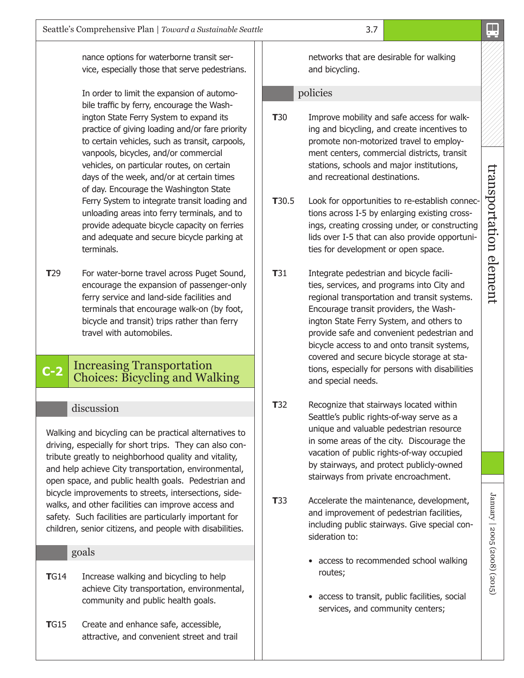nance options for waterborne transit service, especially those that serve pedestrians.

In order to limit the expansion of automobile traffic by ferry, encourage the Washington State Ferry System to expand its practice of giving loading and/or fare priority to certain vehicles, such as transit, carpools, vanpools, bicycles, and/or commercial vehicles, on particular routes, on certain days of the week, and/or at certain times of day. Encourage the Washington State Ferry System to integrate transit loading and unloading areas into ferry terminals, and to provide adequate bicycle capacity on ferries and adequate and secure bicycle parking at terminals.

**T**29 For water-borne travel across Puget Sound, encourage the expansion of passenger-only ferry service and land-side facilities and terminals that encourage walk-on (by foot, bicycle and transit) trips rather than ferry travel with automobiles.

## **C-2** Increasing Transportation Choices: Bicycling and Walking

#### discussion

Walking and bicycling can be practical alternatives to driving, especially for short trips. They can also contribute greatly to neighborhood quality and vitality, and help achieve City transportation, environmental, open space, and public health goals. Pedestrian and bicycle improvements to streets, intersections, sidewalks, and other facilities can improve access and safety. Such facilities are particularly important for children, senior citizens, and people with disabilities.

#### goals

- **TG14** Increase walking and bicycling to help achieve City transportation, environmental, community and public health goals.
- **T**G15 Create and enhance safe, accessible, attractive, and convenient street and trail

networks that are desirable for walking and bicycling.

#### policies

- **T**30 Improve mobility and safe access for walking and bicycling, and create incentives to promote non-motorized travel to employment centers, commercial districts, transit stations, schools and major institutions, and recreational destinations.
- **T**30.5 Look for opportunities to re-establish connections across I-5 by enlarging existing crossings, creating crossing under, or constructing lids over I-5 that can also provide opportunities for development or open space.
- **T**31 Integrate pedestrian and bicycle facilities, services, and programs into City and regional transportation and transit systems. Encourage transit providers, the Washington State Ferry System, and others to provide safe and convenient pedestrian and bicycle access to and onto transit systems, covered and secure bicycle storage at stations, especially for persons with disabilities and special needs.
- **T**32 Recognize that stairways located within Seattle's public rights-of-way serve as a unique and valuable pedestrian resource in some areas of the city. Discourage the vacation of public rights-of-way occupied by stairways, and protect publicly-owned stairways from private encroachment.
- **T**33 Accelerate the maintenance, development, and improvement of pedestrian facilities, including public stairways. Give special consideration to:
	- access to recommended school walking routes;
	- access to transit, public facilities, social services, and community centers;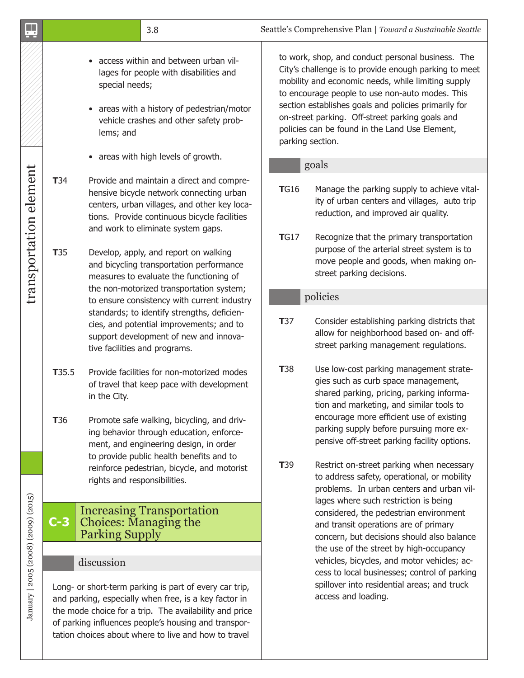| $\overline{\cdot}$                  |                                                                                                                                                                                                                                                                                           |                                                                                                                                                                                                                   | 3.8                                                                                                                                                                                                                                                                                                                                                         |                                                                                                                                                                                                                                                                                                                                                                                                      |                                                                                                                                                                                | Seattle's Comprehensive Plan   Toward a Sustainable Seattle                                                                                                                                                                                                                                                    |
|-------------------------------------|-------------------------------------------------------------------------------------------------------------------------------------------------------------------------------------------------------------------------------------------------------------------------------------------|-------------------------------------------------------------------------------------------------------------------------------------------------------------------------------------------------------------------|-------------------------------------------------------------------------------------------------------------------------------------------------------------------------------------------------------------------------------------------------------------------------------------------------------------------------------------------------------------|------------------------------------------------------------------------------------------------------------------------------------------------------------------------------------------------------------------------------------------------------------------------------------------------------------------------------------------------------------------------------------------------------|--------------------------------------------------------------------------------------------------------------------------------------------------------------------------------|----------------------------------------------------------------------------------------------------------------------------------------------------------------------------------------------------------------------------------------------------------------------------------------------------------------|
|                                     | access within and between urban vil-<br>lages for people with disabilities and<br>special needs;<br>• areas with a history of pedestrian/motor<br>vehicle crashes and other safety prob-<br>lems; and                                                                                     |                                                                                                                                                                                                                   |                                                                                                                                                                                                                                                                                                                                                             | to work, shop, and conduct personal business. The<br>City's challenge is to provide enough parking to meet<br>mobility and economic needs, while limiting supply<br>to encourage people to use non-auto modes. This<br>section establishes goals and policies primarily for<br>on-street parking. Off-street parking goals and<br>policies can be found in the Land Use Element,<br>parking section. |                                                                                                                                                                                |                                                                                                                                                                                                                                                                                                                |
|                                     |                                                                                                                                                                                                                                                                                           |                                                                                                                                                                                                                   | • areas with high levels of growth.                                                                                                                                                                                                                                                                                                                         |                                                                                                                                                                                                                                                                                                                                                                                                      | goals                                                                                                                                                                          |                                                                                                                                                                                                                                                                                                                |
| transportation element              | <b>T</b> 34<br><b>T</b> 35                                                                                                                                                                                                                                                                |                                                                                                                                                                                                                   | Provide and maintain a direct and compre-<br>hensive bicycle network connecting urban<br>centers, urban villages, and other key loca-<br>tions. Provide continuous bicycle facilities<br>and work to eliminate system gaps.<br>Develop, apply, and report on walking<br>and bicycling transportation performance<br>measures to evaluate the functioning of |                                                                                                                                                                                                                                                                                                                                                                                                      | <b>TG16</b><br>TGI7                                                                                                                                                            | Manage the parking supply to achieve vital-<br>ity of urban centers and villages, auto trip<br>reduction, and improved air quality.<br>Recognize that the primary transportation<br>purpose of the arterial street system is to<br>move people and goods, when making on-<br>street parking decisions.         |
|                                     |                                                                                                                                                                                                                                                                                           |                                                                                                                                                                                                                   | the non-motorized transportation system;                                                                                                                                                                                                                                                                                                                    |                                                                                                                                                                                                                                                                                                                                                                                                      |                                                                                                                                                                                | policies                                                                                                                                                                                                                                                                                                       |
|                                     |                                                                                                                                                                                                                                                                                           | to ensure consistency with current industry<br>standards; to identify strengths, deficien-<br>cies, and potential improvements; and to<br>support development of new and innova-<br>tive facilities and programs. |                                                                                                                                                                                                                                                                                                                                                             | <b>T</b> 37                                                                                                                                                                                                                                                                                                                                                                                          | Consider establishing parking districts that<br>allow for neighborhood based on- and off-<br>street parking management regulations.                                            |                                                                                                                                                                                                                                                                                                                |
|                                     | T35.5<br><b>T</b> 36                                                                                                                                                                                                                                                                      | in the City.                                                                                                                                                                                                      | Provide facilities for non-motorized modes<br>of travel that keep pace with development<br>Promote safe walking, bicycling, and driv-<br>ing behavior through education, enforce-                                                                                                                                                                           |                                                                                                                                                                                                                                                                                                                                                                                                      | <b>T</b> 38                                                                                                                                                                    | Use low-cost parking management strate-<br>gies such as curb space management,<br>shared parking, pricing, parking informa-<br>tion and marketing, and similar tools to<br>encourage more efficient use of existing<br>parking supply before pursuing more ex-<br>pensive off-street parking facility options. |
|                                     | ment, and engineering design, in order<br>to provide public health benefits and to<br>reinforce pedestrian, bicycle, and motorist<br>rights and responsibilities.                                                                                                                         |                                                                                                                                                                                                                   |                                                                                                                                                                                                                                                                                                                                                             | <b>T</b> 39                                                                                                                                                                                                                                                                                                                                                                                          | Restrict on-street parking when necessary<br>to address safety, operational, or mobility<br>problems. In urban centers and urban vil-<br>lages where such restriction is being |                                                                                                                                                                                                                                                                                                                |
|                                     | $C-3$                                                                                                                                                                                                                                                                                     | <b>Increasing Transportation</b><br><b>Choices: Managing the</b><br><b>Parking Supply</b>                                                                                                                         |                                                                                                                                                                                                                                                                                                                                                             |                                                                                                                                                                                                                                                                                                                                                                                                      |                                                                                                                                                                                | considered, the pedestrian environment<br>and transit operations are of primary<br>concern, but decisions should also balance                                                                                                                                                                                  |
|                                     |                                                                                                                                                                                                                                                                                           | discussion                                                                                                                                                                                                        |                                                                                                                                                                                                                                                                                                                                                             |                                                                                                                                                                                                                                                                                                                                                                                                      |                                                                                                                                                                                | the use of the street by high-occupancy<br>vehicles, bicycles, and motor vehicles; ac-                                                                                                                                                                                                                         |
| January   2005 (2008) (2009) (2015) | Long- or short-term parking is part of every car trip,<br>and parking, especially when free, is a key factor in<br>the mode choice for a trip. The availability and price<br>of parking influences people's housing and transpor-<br>tation choices about where to live and how to travel |                                                                                                                                                                                                                   |                                                                                                                                                                                                                                                                                                                                                             |                                                                                                                                                                                                                                                                                                                                                                                                      |                                                                                                                                                                                | cess to local businesses; control of parking<br>spillover into residential areas; and truck<br>access and loading.                                                                                                                                                                                             |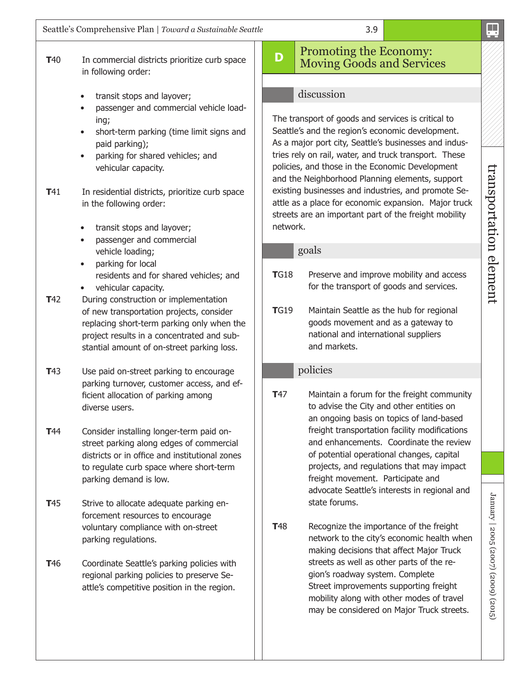• transit stops and layover;

in following order:

- passenger and commercial vehicle loading;
- short-term parking (time limit signs and paid parking);
- parking for shared vehicles; and vehicular capacity.
- **T41** In residential districts, prioritize curb space in the following order:
	- transit stops and layover;
	- passenger and commercial vehicle loading;
	- parking for local residents and for shared vehicles; and
	- vehicular capacity.
- **T42** During construction or implementation of new transportation projects, consider replacing short-term parking only when the project results in a concentrated and substantial amount of on-street parking loss.
- **T**43 Use paid on-street parking to encourage parking turnover, customer access, and efficient allocation of parking among diverse users.
- **T**44 Consider installing longer-term paid onstreet parking along edges of commercial districts or in office and institutional zones to regulate curb space where short-term parking demand is low.
- **T**45 Strive to allocate adequate parking enforcement resources to encourage voluntary compliance with on-street parking regulations.
- **T46** Coordinate Seattle's parking policies with regional parking policies to preserve Seattle's competitive position in the region.

## **D** Promoting the Economy: Moving Goods and Services

#### discussion

The transport of goods and services is critical to Seattle's and the region's economic development. As a major port city, Seattle's businesses and industries rely on rail, water, and truck transport. These policies, and those in the Economic Development and the Neighborhood Planning elements, support existing businesses and industries, and promote Seattle as a place for economic expansion. Major truck streets are an important part of the freight mobility network.

#### goals

- **TG18** Preserve and improve mobility and access for the transport of goods and services.
- **T**G19 Maintain Seattle as the hub for regional goods movement and as a gateway to national and international suppliers and markets.

#### policies

- **T47** Maintain a forum for the freight community to advise the City and other entities on an ongoing basis on topics of land-based freight transportation facility modifications and enhancements. Coordinate the review of potential operational changes, capital projects, and regulations that may impact freight movement. Participate and advocate Seattle's interests in regional and state forums.
- **T48** Recognize the importance of the freight network to the city's economic health when making decisions that affect Major Truck streets as well as other parts of the region's roadway system. Complete Street improvements supporting freight mobility along with other modes of travel may be considered on Major Truck streets.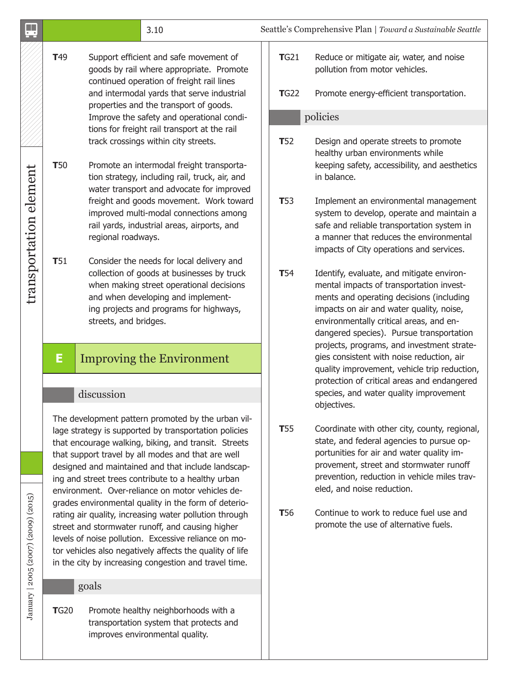|                                     |                                                                                                                                                                                                     |                                                                                                                                                                                     | 3.10                                                                                                                                                                                                                                                                                                                                                                                                                                              |             |                                                                                                                                                                                                                         | Seattle's Comprehensive Plan   Toward a Sustainable Seattle                                                                                                                                                                                                          |
|-------------------------------------|-----------------------------------------------------------------------------------------------------------------------------------------------------------------------------------------------------|-------------------------------------------------------------------------------------------------------------------------------------------------------------------------------------|---------------------------------------------------------------------------------------------------------------------------------------------------------------------------------------------------------------------------------------------------------------------------------------------------------------------------------------------------------------------------------------------------------------------------------------------------|-------------|-------------------------------------------------------------------------------------------------------------------------------------------------------------------------------------------------------------------------|----------------------------------------------------------------------------------------------------------------------------------------------------------------------------------------------------------------------------------------------------------------------|
|                                     | T <sub>49</sub>                                                                                                                                                                                     |                                                                                                                                                                                     | Support efficient and safe movement of<br>goods by rail where appropriate. Promote<br>continued operation of freight rail lines<br>and intermodal yards that serve industrial                                                                                                                                                                                                                                                                     |             | TG21<br><b>T</b> G22                                                                                                                                                                                                    | Reduce or mitigate air, water, and noise<br>pollution from motor vehicles.<br>Promote energy-efficient transportation.                                                                                                                                               |
|                                     |                                                                                                                                                                                                     | properties and the transport of goods.<br>Improve the safety and operational condi-                                                                                                 |                                                                                                                                                                                                                                                                                                                                                                                                                                                   |             |                                                                                                                                                                                                                         | policies                                                                                                                                                                                                                                                             |
| transportation element              | <b>T</b> 50                                                                                                                                                                                         | tions for freight rail transport at the rail<br>track crossings within city streets.<br>Promote an intermodal freight transporta-<br>tion strategy, including rail, truck, air, and |                                                                                                                                                                                                                                                                                                                                                                                                                                                   |             | <b>T</b> 52                                                                                                                                                                                                             | Design and operate streets to promote<br>healthy urban environments while<br>keeping safety, accessibility, and aesthetics<br>in balance.                                                                                                                            |
|                                     | water transport and advocate for improved<br>freight and goods movement. Work toward<br>improved multi-modal connections among<br>rail yards, industrial areas, airports, and<br>regional roadways. |                                                                                                                                                                                     |                                                                                                                                                                                                                                                                                                                                                                                                                                                   | <b>T</b> 53 | Implement an environmental management<br>system to develop, operate and maintain a<br>safe and reliable transportation system in<br>a manner that reduces the environmental<br>impacts of City operations and services. |                                                                                                                                                                                                                                                                      |
|                                     | T51                                                                                                                                                                                                 | streets, and bridges.                                                                                                                                                               | Consider the needs for local delivery and<br>collection of goods at businesses by truck<br>when making street operational decisions<br>and when developing and implement-<br>ing projects and programs for highways,                                                                                                                                                                                                                              |             | <b>T</b> 54                                                                                                                                                                                                             | Identify, evaluate, and mitigate environ-<br>mental impacts of transportation invest-<br>ments and operating decisions (including<br>impacts on air and water quality, noise,<br>environmentally critical areas, and en-<br>dangered species). Pursue transportation |
|                                     | E<br><b>Improving the Environment</b><br>discussion                                                                                                                                                 |                                                                                                                                                                                     |                                                                                                                                                                                                                                                                                                                                                                                                                                                   |             |                                                                                                                                                                                                                         | projects, programs, and investment strate-<br>gies consistent with noise reduction, air<br>quality improvement, vehicle trip reduction,<br>protection of critical areas and endangered<br>species, and water quality improvement                                     |
|                                     |                                                                                                                                                                                                     |                                                                                                                                                                                     |                                                                                                                                                                                                                                                                                                                                                                                                                                                   |             |                                                                                                                                                                                                                         | objectives.                                                                                                                                                                                                                                                          |
|                                     |                                                                                                                                                                                                     |                                                                                                                                                                                     | The development pattern promoted by the urban vil-<br>lage strategy is supported by transportation policies<br>that encourage walking, biking, and transit. Streets<br>that support travel by all modes and that are well<br>designed and maintained and that include landscap-<br>ing and street trees contribute to a healthy urban<br>environment. Over-reliance on motor vehicles de-<br>grades environmental quality in the form of deterio- |             | <b>T</b> 55                                                                                                                                                                                                             | Coordinate with other city, county, regional,<br>state, and federal agencies to pursue op-<br>portunities for air and water quality im-<br>provement, street and stormwater runoff<br>prevention, reduction in vehicle miles trav-<br>eled, and noise reduction.     |
| January   2005 (2007) (2009) (2015) |                                                                                                                                                                                                     |                                                                                                                                                                                     | rating air quality, increasing water pollution through<br>street and stormwater runoff, and causing higher<br>levels of noise pollution. Excessive reliance on mo-<br>tor vehicles also negatively affects the quality of life<br>in the city by increasing congestion and travel time.                                                                                                                                                           |             | <b>T</b> 56                                                                                                                                                                                                             | Continue to work to reduce fuel use and<br>promote the use of alternative fuels.                                                                                                                                                                                     |
|                                     |                                                                                                                                                                                                     | goals                                                                                                                                                                               |                                                                                                                                                                                                                                                                                                                                                                                                                                                   |             |                                                                                                                                                                                                                         |                                                                                                                                                                                                                                                                      |
|                                     | <b>T</b> G20                                                                                                                                                                                        |                                                                                                                                                                                     | Promote healthy neighborhoods with a<br>transportation system that protects and<br>improves environmental quality.                                                                                                                                                                                                                                                                                                                                |             |                                                                                                                                                                                                                         |                                                                                                                                                                                                                                                                      |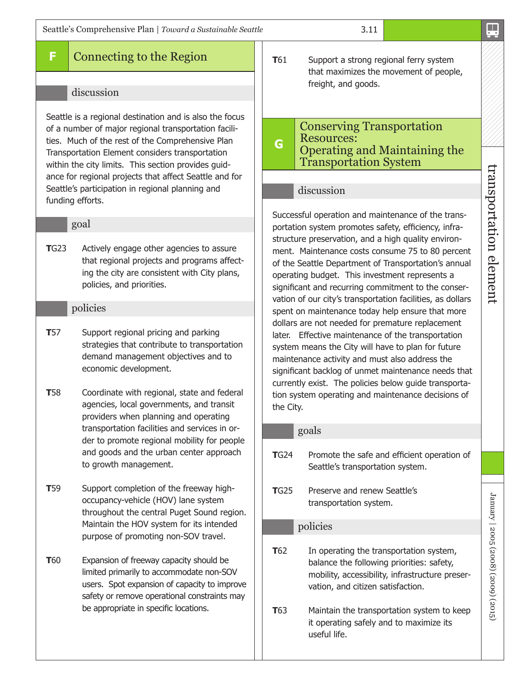## **F** Connecting to the Region

#### discussion

Seattle is a regional destination and is also the focus of a number of major regional transportation facilities. Much of the rest of the Comprehensive Plan Transportation Element considers transportation within the city limits. This section provides guidance for regional projects that affect Seattle and for Seattle's participation in regional planning and funding efforts.

#### goal

**T**G23 Actively engage other agencies to assure that regional projects and programs affecting the city are consistent with City plans, policies, and priorities.

#### policies

- **T57** Support regional pricing and parking strategies that contribute to transportation demand management objectives and to economic development.
- **T**58 Coordinate with regional, state and federal agencies, local governments, and transit providers when planning and operating transportation facilities and services in order to promote regional mobility for people and goods and the urban center approach to growth management.
- **T**59 Support completion of the freeway highoccupancy-vehicle (HOV) lane system throughout the central Puget Sound region. Maintain the HOV system for its intended purpose of promoting non-SOV travel.
- **T**60 Expansion of freeway capacity should be limited primarily to accommodate non-SOV users. Spot expansion of capacity to improve safety or remove operational constraints may be appropriate in specific locations.

**T**61 Support a strong regional ferry system that maximizes the movement of people, freight, and goods.

#### **G** Conserving Transportation Resources: Operating and Maintaining the Transportation System

#### discussion

Successful operation and maintenance of the transportation system promotes safety, efficiency, infrastructure preservation, and a high quality environment. Maintenance costs consume 75 to 80 percent of the Seattle Department of Transportation's annual operating budget. This investment represents a significant and recurring commitment to the conservation of our city's transportation facilities, as dollars spent on maintenance today help ensure that more dollars are not needed for premature replacement later. Effective maintenance of the transportation system means the City will have to plan for future maintenance activity and must also address the significant backlog of unmet maintenance needs that currently exist. The policies below guide transportation system operating and maintenance decisions of the City.

#### goals

- **T**G24 Promote the safe and efficient operation of Seattle's transportation system.
- **T**G25 Preserve and renew Seattle's transportation system.

#### policies

- **T**62 In operating the transportation system, balance the following priorities: safety, mobility, accessibility, infrastructure preservation, and citizen satisfaction.
- **T**63 Maintain the transportation system to keep it operating safely and to maximize its useful life.

 transportation element transportation element

 $\frac{1}{\cdot}$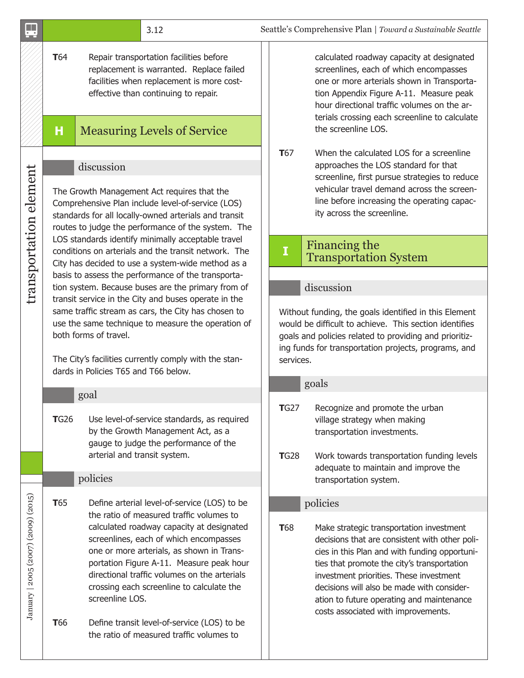|                                     |                                                                                                                                                                                         | 3.12                                                                                                                                                                                                                                                                                                                                     |                                                                                                                                                                                                                                                | Seattle's Comprehensive Plan   Toward a Sustainable Seattle                                                                                                                                                                                                                                                                                                             |  |
|-------------------------------------|-----------------------------------------------------------------------------------------------------------------------------------------------------------------------------------------|------------------------------------------------------------------------------------------------------------------------------------------------------------------------------------------------------------------------------------------------------------------------------------------------------------------------------------------|------------------------------------------------------------------------------------------------------------------------------------------------------------------------------------------------------------------------------------------------|-------------------------------------------------------------------------------------------------------------------------------------------------------------------------------------------------------------------------------------------------------------------------------------------------------------------------------------------------------------------------|--|
|                                     | <b>T</b> 64<br>Repair transportation facilities before<br>replacement is warranted. Replace failed<br>facilities when replacement is more cost-<br>effective than continuing to repair. |                                                                                                                                                                                                                                                                                                                                          |                                                                                                                                                                                                                                                | calculated roadway capacity at designated<br>screenlines, each of which encompasses<br>one or more arterials shown in Transporta-<br>tion Appendix Figure A-11. Measure peak<br>hour directional traffic volumes on the ar-<br>terials crossing each screenline to calculate                                                                                            |  |
|                                     | Н                                                                                                                                                                                       | <b>Measuring Levels of Service</b>                                                                                                                                                                                                                                                                                                       |                                                                                                                                                                                                                                                | the screenline LOS.                                                                                                                                                                                                                                                                                                                                                     |  |
| transportation element              |                                                                                                                                                                                         | discussion<br>The Growth Management Act requires that the<br>Comprehensive Plan include level-of-service (LOS)<br>standards for all locally-owned arterials and transit<br>routes to judge the performance of the system. The                                                                                                            | <b>T</b> 67                                                                                                                                                                                                                                    | When the calculated LOS for a screenline<br>approaches the LOS standard for that<br>screenline, first pursue strategies to reduce<br>vehicular travel demand across the screen-<br>line before increasing the operating capac-<br>ity across the screenline.                                                                                                            |  |
|                                     |                                                                                                                                                                                         | LOS standards identify minimally acceptable travel<br>conditions on arterials and the transit network. The<br>City has decided to use a system-wide method as a                                                                                                                                                                          | I                                                                                                                                                                                                                                              | Financing the<br><b>Transportation System</b>                                                                                                                                                                                                                                                                                                                           |  |
|                                     |                                                                                                                                                                                         | basis to assess the performance of the transporta-<br>tion system. Because buses are the primary from of                                                                                                                                                                                                                                 |                                                                                                                                                                                                                                                | discussion                                                                                                                                                                                                                                                                                                                                                              |  |
|                                     |                                                                                                                                                                                         | transit service in the City and buses operate in the<br>same traffic stream as cars, the City has chosen to<br>use the same technique to measure the operation of<br>both forms of travel.<br>The City's facilities currently comply with the stan-<br>dards in Policies T65 and T66 below.                                              | Without funding, the goals identified in this Element<br>would be difficult to achieve. This section identifies<br>goals and policies related to providing and prioritiz-<br>ing funds for transportation projects, programs, and<br>services. |                                                                                                                                                                                                                                                                                                                                                                         |  |
|                                     |                                                                                                                                                                                         | goal                                                                                                                                                                                                                                                                                                                                     | goals                                                                                                                                                                                                                                          |                                                                                                                                                                                                                                                                                                                                                                         |  |
|                                     | <b>T</b> G26                                                                                                                                                                            | Use level-of-service standards, as required<br>by the Growth Management Act, as a<br>gauge to judge the performance of the<br>arterial and transit system.                                                                                                                                                                               | <b>TG27</b><br><b>T</b> G28                                                                                                                                                                                                                    | Recognize and promote the urban<br>village strategy when making<br>transportation investments.<br>Work towards transportation funding levels                                                                                                                                                                                                                            |  |
|                                     |                                                                                                                                                                                         | policies                                                                                                                                                                                                                                                                                                                                 |                                                                                                                                                                                                                                                | adequate to maintain and improve the<br>transportation system.                                                                                                                                                                                                                                                                                                          |  |
|                                     | <b>T</b> 65                                                                                                                                                                             | Define arterial level-of-service (LOS) to be                                                                                                                                                                                                                                                                                             |                                                                                                                                                                                                                                                | policies                                                                                                                                                                                                                                                                                                                                                                |  |
| January   2005 (2007) (2009) (2015) |                                                                                                                                                                                         | the ratio of measured traffic volumes to<br>calculated roadway capacity at designated<br>screenlines, each of which encompasses<br>one or more arterials, as shown in Trans-<br>portation Figure A-11. Measure peak hour<br>directional traffic volumes on the arterials<br>crossing each screenline to calculate the<br>screenline LOS. | <b>T</b> 68                                                                                                                                                                                                                                    | Make strategic transportation investment<br>decisions that are consistent with other poli-<br>cies in this Plan and with funding opportuni-<br>ties that promote the city's transportation<br>investment priorities. These investment<br>decisions will also be made with consider-<br>ation to future operating and maintenance<br>costs associated with improvements. |  |
|                                     | <b>T</b> 66                                                                                                                                                                             | Define transit level-of-service (LOS) to be<br>the ratio of measured traffic volumes to                                                                                                                                                                                                                                                  |                                                                                                                                                                                                                                                |                                                                                                                                                                                                                                                                                                                                                                         |  |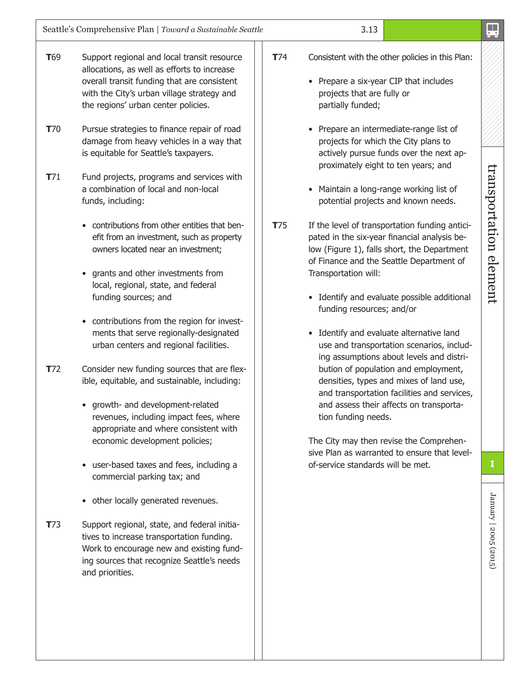- **T**69 Support regional and local transit resource allocations, as well as efforts to increase overall transit funding that are consistent with the City's urban village strategy and the regions' urban center policies.
- **T**70 Pursue strategies to finance repair of road damage from heavy vehicles in a way that is equitable for Seattle's taxpayers.
- **T**71 Fund projects, programs and services with a combination of local and non-local funds, including:
	- contributions from other entities that benefit from an investment, such as property owners located near an investment;
	- grants and other investments from local, regional, state, and federal funding sources; and
	- contributions from the region for investments that serve regionally-designated urban centers and regional facilities.
- **T**72 Consider new funding sources that are flexible, equitable, and sustainable, including:
	- growth- and development-related revenues, including impact fees, where appropriate and where consistent with economic development policies;
	- user-based taxes and fees, including a commercial parking tax; and
	- other locally generated revenues.
- **T**73 Support regional, state, and federal initiatives to increase transportation funding. Work to encourage new and existing funding sources that recognize Seattle's needs and priorities.
- **T**74 Consistent with the other policies in this Plan:
	- Prepare a six-year CIP that includes projects that are fully or partially funded;
	- Prepare an intermediate-range list of projects for which the City plans to actively pursue funds over the next approximately eight to ten years; and
	- Maintain a long-range working list of potential projects and known needs.
- **T**75 If the level of transportation funding anticipated in the six-year financial analysis below (Figure 1), falls short, the Department of Finance and the Seattle Department of Transportation will:
	- Identify and evaluate possible additional funding resources; and/or
	- Identify and evaluate alternative land use and transportation scenarios, including assumptions about levels and distribution of population and employment, densities, types and mixes of land use, and transportation facilities and services, and assess their affects on transportation funding needs.

The City may then revise the Comprehensive Plan as warranted to ensure that levelof-service standards will be met. **I**

transportation element

transportation element